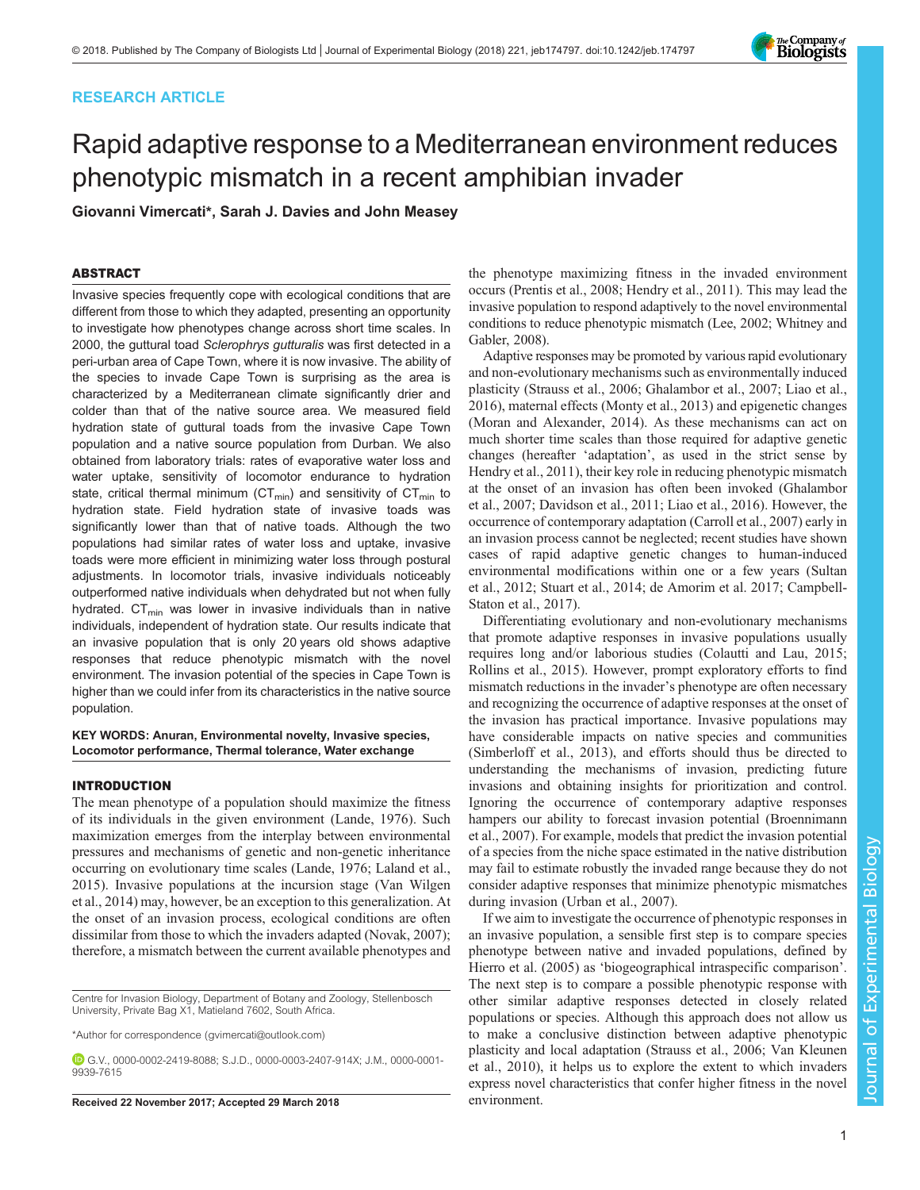# RESEARCH ARTICLE



# Rapid adaptive response to a Mediterranean environment reduces phenotypic mismatch in a recent amphibian invader

Giovanni Vimercati\*, Sarah J. Davies and John Measey

## ABSTRACT

Invasive species frequently cope with ecological conditions that are different from those to which they adapted, presenting an opportunity to investigate how phenotypes change across short time scales. In 2000, the guttural toad Sclerophrys gutturalis was first detected in a peri-urban area of Cape Town, where it is now invasive. The ability of the species to invade Cape Town is surprising as the area is characterized by a Mediterranean climate significantly drier and colder than that of the native source area. We measured field hydration state of guttural toads from the invasive Cape Town population and a native source population from Durban. We also obtained from laboratory trials: rates of evaporative water loss and water uptake, sensitivity of locomotor endurance to hydration state, critical thermal minimum ( $CT_{min}$ ) and sensitivity of  $CT_{min}$  to hydration state. Field hydration state of invasive toads was significantly lower than that of native toads. Although the two populations had similar rates of water loss and uptake, invasive toads were more efficient in minimizing water loss through postural adjustments. In locomotor trials, invasive individuals noticeably outperformed native individuals when dehydrated but not when fully hydrated.  $CT_{min}$  was lower in invasive individuals than in native individuals, independent of hydration state. Our results indicate that an invasive population that is only 20 years old shows adaptive responses that reduce phenotypic mismatch with the novel environment. The invasion potential of the species in Cape Town is higher than we could infer from its characteristics in the native source population.

#### KEY WORDS: Anuran, Environmental novelty, Invasive species, Locomotor performance, Thermal tolerance, Water exchange

## INTRODUCTION

The mean phenotype of a population should maximize the fitness of its individuals in the given environment [\(Lande, 1976\)](#page-7-0). Such maximization emerges from the interplay between environmental pressures and mechanisms of genetic and non-genetic inheritance occurring on evolutionary time scales ([Lande, 1976; Laland et al.,](#page-7-0) [2015](#page-7-0)). Invasive populations at the incursion stage ([Van Wilgen](#page-8-0) [et al., 2014\)](#page-8-0) may, however, be an exception to this generalization. At the onset of an invasion process, ecological conditions are often dissimilar from those to which the invaders adapted ([Novak, 2007](#page-7-0)); therefore, a mismatch between the current available phenotypes and

Centre for Invasion Biology, Department of Botany and Zoology, Stellenbosch University, Private Bag X1, Matieland 7602, South Africa.

\*Author for correspondence [\(gvimercati@outlook.com](mailto:gvimercati@outlook.com))

G.V., [0000-0002-2419-8088;](http://orcid.org/0000-0002-2419-8088) S.J.D., [0000-0003-2407-914X](http://orcid.org/0000-0003-2407-914X); J.M., [0000-0001-](http://orcid.org/0000-0001-9939-7615) [9939-7615](http://orcid.org/0000-0001-9939-7615)

Received 22 November 2017; Accepted 29 March 2018 environment.

the phenotype maximizing fitness in the invaded environment occurs ([Prentis et al., 2008](#page-7-0); [Hendry et al., 2011](#page-7-0)). This may lead the invasive population to respond adaptively to the novel environmental conditions to reduce phenotypic mismatch [\(Lee, 2002](#page-7-0); [Whitney and](#page-8-0) [Gabler, 2008\)](#page-8-0).

Adaptive responses may be promoted by various rapid evolutionary and non-evolutionary mechanisms such as environmentally induced plasticity [\(Strauss et al., 2006; Ghalambor et al., 2007; Liao et al.,](#page-7-0) [2016\)](#page-7-0), maternal effects [\(Monty et al., 2013\)](#page-7-0) and epigenetic changes [\(Moran and Alexander, 2014\)](#page-7-0). As these mechanisms can act on much shorter time scales than those required for adaptive genetic changes (hereafter 'adaptation', as used in the strict sense by [Hendry et al., 2011\)](#page-7-0), their key role in reducing phenotypic mismatch at the onset of an invasion has often been invoked ([Ghalambor](#page-7-0) [et al., 2007;](#page-7-0) [Davidson et al., 2011](#page-6-0); [Liao et al., 2016\)](#page-7-0). However, the occurrence of contemporary adaptation [\(Carroll et al., 2007](#page-6-0)) early in an invasion process cannot be neglected; recent studies have shown cases of rapid adaptive genetic changes to human-induced environmental modifications within one or a few years ([Sultan](#page-7-0) [et al., 2012; Stuart et al., 2014](#page-7-0); [de Amorim et al. 2017; Campbell-](#page-6-0)[Staton et al., 2017](#page-6-0)).

Differentiating evolutionary and non-evolutionary mechanisms that promote adaptive responses in invasive populations usually requires long and/or laborious studies ([Colautti and Lau, 2015](#page-6-0); [Rollins et al., 2015](#page-7-0)). However, prompt exploratory efforts to find mismatch reductions in the invader's phenotype are often necessary and recognizing the occurrence of adaptive responses at the onset of the invasion has practical importance. Invasive populations may have considerable impacts on native species and communities [\(Simberloff et al., 2013](#page-7-0)), and efforts should thus be directed to understanding the mechanisms of invasion, predicting future invasions and obtaining insights for prioritization and control. Ignoring the occurrence of contemporary adaptive responses hampers our ability to forecast invasion potential ([Broennimann](#page-6-0) [et al., 2007](#page-6-0)). For example, models that predict the invasion potential of a species from the niche space estimated in the native distribution may fail to estimate robustly the invaded range because they do not consider adaptive responses that minimize phenotypic mismatches during invasion [\(Urban et al., 2007\)](#page-8-0).

If we aim to investigate the occurrence of phenotypic responses in an invasive population, a sensible first step is to compare species phenotype between native and invaded populations, defined by [Hierro et al. \(2005\)](#page-7-0) as 'biogeographical intraspecific comparison'. The next step is to compare a possible phenotypic response with other similar adaptive responses detected in closely related populations or species. Although this approach does not allow us to make a conclusive distinction between adaptive phenotypic plasticity and local adaptation [\(Strauss et al., 2006](#page-7-0); [Van Kleunen](#page-8-0) [et al., 2010\)](#page-8-0), it helps us to explore the extent to which invaders express novel characteristics that confer higher fitness in the novel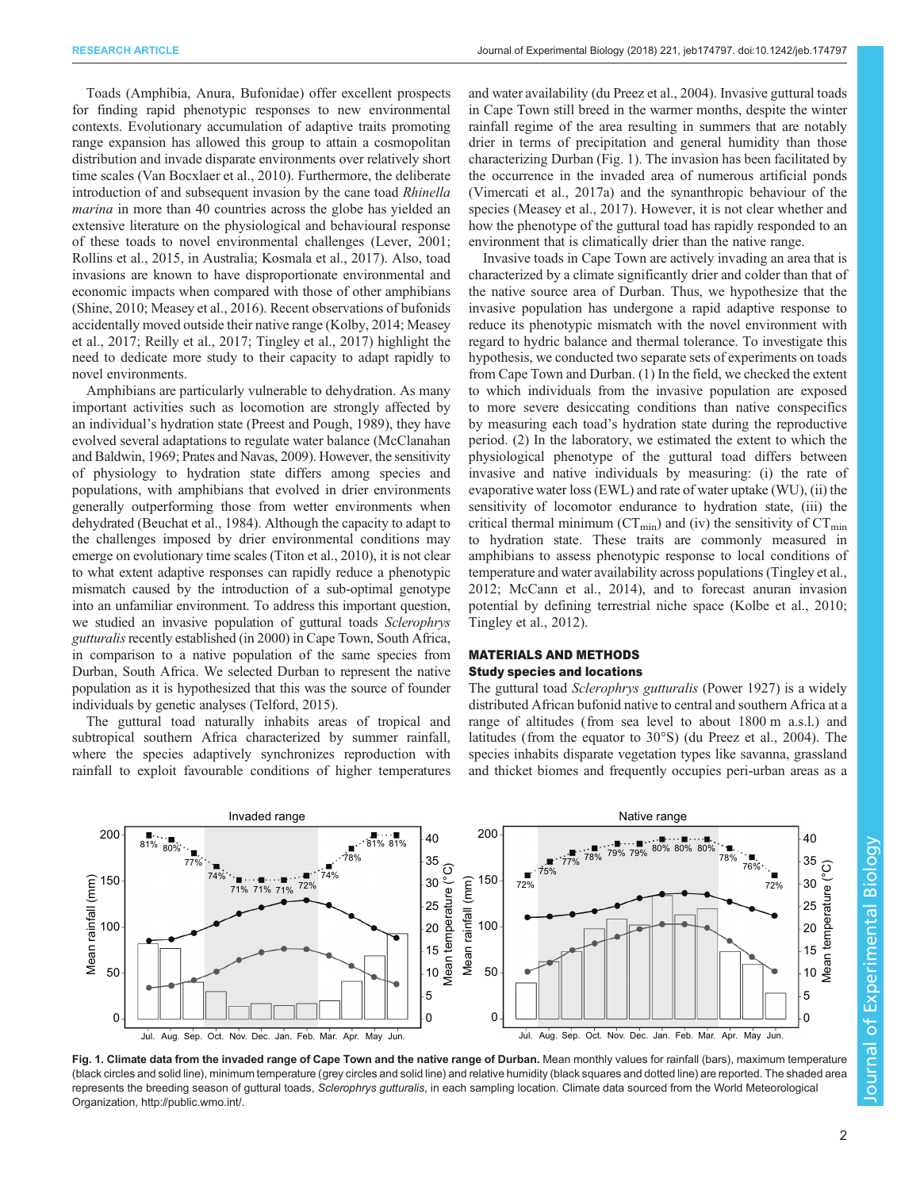<span id="page-1-0"></span>Toads (Amphibia, Anura, Bufonidae) offer excellent prospects for finding rapid phenotypic responses to new environmental contexts. Evolutionary accumulation of adaptive traits promoting range expansion has allowed this group to attain a cosmopolitan distribution and invade disparate environments over relatively short time scales ([Van Bocxlaer et al., 2010\)](#page-8-0). Furthermore, the deliberate introduction of and subsequent invasion by the cane toad Rhinella marina in more than 40 countries across the globe has yielded an extensive literature on the physiological and behavioural response of these toads to novel environmental challenges [\(Lever, 2001](#page-7-0); [Rollins et al., 2015](#page-7-0), in Australia; [Kosmala et al., 2017\)](#page-7-0). Also, toad invasions are known to have disproportionate environmental and economic impacts when compared with those of other amphibians [\(Shine, 2010; Measey et al., 2016](#page-7-0)). Recent observations of bufonids accidentally moved outside their native range ([Kolby, 2014; Measey](#page-7-0) [et al., 2017](#page-7-0); [Reilly et al., 2017](#page-7-0); [Tingley et al., 2017\)](#page-7-0) highlight the need to dedicate more study to their capacity to adapt rapidly to novel environments.

Amphibians are particularly vulnerable to dehydration. As many important activities such as locomotion are strongly affected by an individual's hydration state [\(Preest and Pough, 1989](#page-7-0)), they have evolved several adaptations to regulate water balance ([McClanahan](#page-7-0) [and Baldwin, 1969](#page-7-0); [Prates and Navas, 2009](#page-7-0)). However, the sensitivity of physiology to hydration state differs among species and populations, with amphibians that evolved in drier environments generally outperforming those from wetter environments when dehydrated ([Beuchat et al., 1984\)](#page-6-0). Although the capacity to adapt to the challenges imposed by drier environmental conditions may emerge on evolutionary time scales ([Titon et al., 2010](#page-7-0)), it is not clear to what extent adaptive responses can rapidly reduce a phenotypic mismatch caused by the introduction of a sub-optimal genotype into an unfamiliar environment. To address this important question, we studied an invasive population of guttural toads Sclerophrys gutturalis recently established (in 2000) in Cape Town, South Africa, in comparison to a native population of the same species from Durban, South Africa. We selected Durban to represent the native population as it is hypothesized that this was the source of founder individuals by genetic analyses [\(Telford, 2015\)](#page-7-0).

The guttural toad naturally inhabits areas of tropical and subtropical southern Africa characterized by summer rainfall, where the species adaptively synchronizes reproduction with rainfall to exploit favourable conditions of higher temperatures and water availability ([du Preez et al., 2004\)](#page-7-0). Invasive guttural toads in Cape Town still breed in the warmer months, despite the winter rainfall regime of the area resulting in summers that are notably drier in terms of precipitation and general humidity than those characterizing Durban (Fig. 1). The invasion has been facilitated by the occurrence in the invaded area of numerous artificial ponds [\(Vimercati et al., 2017a\)](#page-8-0) and the synanthropic behaviour of the species ([Measey et al., 2017\)](#page-7-0). However, it is not clear whether and how the phenotype of the guttural toad has rapidly responded to an environment that is climatically drier than the native range.

Invasive toads in Cape Town are actively invading an area that is characterized by a climate significantly drier and colder than that of the native source area of Durban. Thus, we hypothesize that the invasive population has undergone a rapid adaptive response to reduce its phenotypic mismatch with the novel environment with regard to hydric balance and thermal tolerance. To investigate this hypothesis, we conducted two separate sets of experiments on toads from Cape Town and Durban. (1) In the field, we checked the extent to which individuals from the invasive population are exposed to more severe desiccating conditions than native conspecifics by measuring each toad's hydration state during the reproductive period. (2) In the laboratory, we estimated the extent to which the physiological phenotype of the guttural toad differs between invasive and native individuals by measuring: (i) the rate of evaporative water loss (EWL) and rate of water uptake (WU), (ii) the sensitivity of locomotor endurance to hydration state, (iii) the critical thermal minimum ( $CT_{min}$ ) and (iv) the sensitivity of  $CT_{min}$ to hydration state. These traits are commonly measured in amphibians to assess phenotypic response to local conditions of temperature and water availability across populations [\(Tingley et al.,](#page-7-0) [2012; McCann et al., 2014\)](#page-7-0), and to forecast anuran invasion potential by defining terrestrial niche space [\(Kolbe et al., 2010](#page-7-0); [Tingley et al., 2012](#page-7-0)).

## MATERIALS AND METHODS Study species and locations

The guttural toad Sclerophrys gutturalis (Power 1927) is a widely distributed African bufonid native to central and southern Africa at a range of altitudes (from sea level to about 1800 m a.s.l.) and latitudes (from the equator to 30°S) ([du Preez et al., 2004](#page-7-0)). The species inhabits disparate vegetation types like savanna, grassland and thicket biomes and frequently occupies peri-urban areas as a



Fig. 1. Climate data from the invaded range of Cape Town and the native range of Durban. Mean monthly values for rainfall (bars), maximum temperature (black circles and solid line), minimum temperature (grey circles and solid line) and relative humidity (black squares and dotted line) are reported. The shaded area represents the breeding season of guttural toads, Sclerophrys gutturalis, in each sampling location. Climate data sourced from the World Meteorological Organization, [http://public.wmo.int/.](http://public.wmo.int/)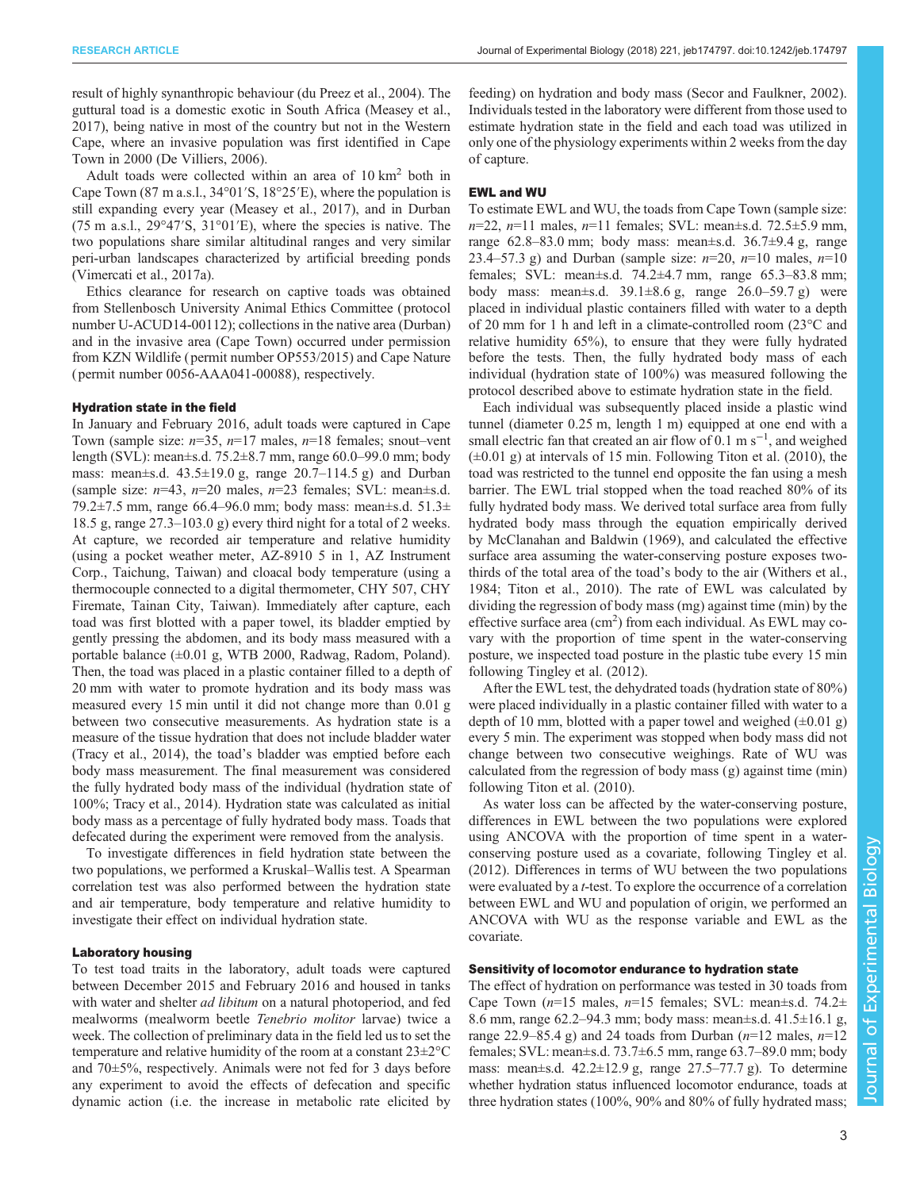result of highly synanthropic behaviour ([du Preez et al., 2004\)](#page-7-0). The guttural toad is a domestic exotic in South Africa [\(Measey et al.,](#page-7-0) [2017](#page-7-0)), being native in most of the country but not in the Western Cape, where an invasive population was first identified in Cape Town in 2000 [\(De Villiers, 2006\)](#page-7-0).

Adult toads were collected within an area of  $10 \text{ km}^2$  both in Cape Town (87 m a.s.l., 34°01′S, 18°25′E), where the population is still expanding every year [\(Measey et al., 2017\)](#page-7-0), and in Durban (75 m a.s.l., 29°47′S, 31°01′E), where the species is native. The two populations share similar altitudinal ranges and very similar peri-urban landscapes characterized by artificial breeding ponds [\(Vimercati et al., 2017a\)](#page-8-0).

Ethics clearance for research on captive toads was obtained from Stellenbosch University Animal Ethics Committee ( protocol number U-ACUD14-00112); collections in the native area (Durban) and in the invasive area (Cape Town) occurred under permission from KZN Wildlife ( permit number OP553/2015) and Cape Nature ( permit number 0056-AAA041-00088), respectively.

#### Hydration state in the field

In January and February 2016, adult toads were captured in Cape Town (sample size:  $n=35$ ,  $n=17$  males,  $n=18$  females; snout–vent length (SVL): mean±s.d. 75.2±8.7 mm, range 60.0–99.0 mm; body mass: mean $\pm$ s.d. 43.5 $\pm$ 19.0 g, range 20.7–114.5 g) and Durban (sample size:  $n=43$ ,  $n=20$  males,  $n=23$  females; SVL: mean $\pm$ s.d. 79.2±7.5 mm, range 66.4–96.0 mm; body mass: mean±s.d. 51.3± 18.5 g, range 27.3–103.0 g) every third night for a total of 2 weeks. At capture, we recorded air temperature and relative humidity (using a pocket weather meter, AZ-8910 5 in 1, AZ Instrument Corp., Taichung, Taiwan) and cloacal body temperature (using a thermocouple connected to a digital thermometer, CHY 507, CHY Firemate, Tainan City, Taiwan). Immediately after capture, each toad was first blotted with a paper towel, its bladder emptied by gently pressing the abdomen, and its body mass measured with a portable balance (±0.01 g, WTB 2000, Radwag, Radom, Poland). Then, the toad was placed in a plastic container filled to a depth of 20 mm with water to promote hydration and its body mass was measured every 15 min until it did not change more than 0.01 g between two consecutive measurements. As hydration state is a measure of the tissue hydration that does not include bladder water [\(Tracy et al., 2014](#page-7-0)), the toad's bladder was emptied before each body mass measurement. The final measurement was considered the fully hydrated body mass of the individual (hydration state of 100%; [Tracy et al., 2014\)](#page-7-0). Hydration state was calculated as initial body mass as a percentage of fully hydrated body mass. Toads that defecated during the experiment were removed from the analysis.

To investigate differences in field hydration state between the two populations, we performed a Kruskal–Wallis test. A Spearman correlation test was also performed between the hydration state and air temperature, body temperature and relative humidity to investigate their effect on individual hydration state.

## Laboratory housing

To test toad traits in the laboratory, adult toads were captured between December 2015 and February 2016 and housed in tanks with water and shelter *ad libitum* on a natural photoperiod, and fed mealworms (mealworm beetle Tenebrio molitor larvae) twice a week. The collection of preliminary data in the field led us to set the temperature and relative humidity of the room at a constant 23±2°C and 70±5%, respectively. Animals were not fed for 3 days before any experiment to avoid the effects of defecation and specific dynamic action (i.e. the increase in metabolic rate elicited by

feeding) on hydration and body mass [\(Secor and Faulkner, 2002\)](#page-7-0). Individuals tested in the laboratory were different from those used to estimate hydration state in the field and each toad was utilized in only one of the physiology experiments within 2 weeks from the day of capture.

#### EWL and WU

To estimate EWL and WU, the toads from Cape Town (sample size:  $n=22$ ,  $n=11$  males,  $n=11$  females; SVL: mean $\pm$ s.d. 72.5 $\pm$ 5.9 mm, range  $62.8-83.0$  mm; body mass: mean $\pm$ s.d.  $36.7\pm9.4$  g, range 23.4–57.3 g) and Durban (sample size:  $n=20$ ,  $n=10$  males,  $n=10$ females; SVL: mean±s.d. 74.2±4.7 mm, range 65.3–83.8 mm; body mass: mean±s.d. 39.1±8.6 g, range 26.0–59.7 g) were placed in individual plastic containers filled with water to a depth of 20 mm for 1 h and left in a climate-controlled room (23°C and relative humidity 65%), to ensure that they were fully hydrated before the tests. Then, the fully hydrated body mass of each individual (hydration state of 100%) was measured following the protocol described above to estimate hydration state in the field.

Each individual was subsequently placed inside a plastic wind tunnel (diameter 0.25 m, length 1 m) equipped at one end with a small electric fan that created an air flow of 0.1 m s<sup>-1</sup>, and weighed  $(\pm 0.01 \text{ g})$  at intervals of 15 min. Following [Titon et al. \(2010\)](#page-7-0), the toad was restricted to the tunnel end opposite the fan using a mesh barrier. The EWL trial stopped when the toad reached 80% of its fully hydrated body mass. We derived total surface area from fully hydrated body mass through the equation empirically derived by [McClanahan and Baldwin \(1969\)](#page-7-0), and calculated the effective surface area assuming the water-conserving posture exposes twothirds of the total area of the toad's body to the air ([Withers et al.,](#page-8-0) [1984;](#page-8-0) [Titon et al., 2010](#page-7-0)). The rate of EWL was calculated by dividing the regression of body mass (mg) against time (min) by the effective surface area (cm<sup>2</sup>) from each individual. As EWL may covary with the proportion of time spent in the water-conserving posture, we inspected toad posture in the plastic tube every 15 min following [Tingley et al. \(2012\)](#page-7-0).

After the EWL test, the dehydrated toads (hydration state of 80%) were placed individually in a plastic container filled with water to a depth of 10 mm, blotted with a paper towel and weighed  $(\pm 0.01 \text{ g})$ every 5 min. The experiment was stopped when body mass did not change between two consecutive weighings. Rate of WU was calculated from the regression of body mass (g) against time (min) following [Titon et al. \(2010\).](#page-7-0)

As water loss can be affected by the water-conserving posture, differences in EWL between the two populations were explored using ANCOVA with the proportion of time spent in a waterconserving posture used as a covariate, following [Tingley et al.](#page-7-0) [\(2012\)](#page-7-0). Differences in terms of WU between the two populations were evaluated by a t-test. To explore the occurrence of a correlation between EWL and WU and population of origin, we performed an ANCOVA with WU as the response variable and EWL as the covariate.

## Sensitivity of locomotor endurance to hydration state

The effect of hydration on performance was tested in 30 toads from Cape Town ( $n=15$  males,  $n=15$  females; SVL: mean $\pm$ s.d. 74.2 $\pm$ 8.6 mm, range 62.2–94.3 mm; body mass: mean±s.d. 41.5±16.1 g, range 22.9–85.4 g) and 24 toads from Durban  $(n=12 \text{ males}, n=12)$ females; SVL: mean±s.d. 73.7±6.5 mm, range 63.7–89.0 mm; body mass: mean $\pm$ s.d. 42.2 $\pm$ 12.9 g, range 27.5–77.7 g). To determine whether hydration status influenced locomotor endurance, toads at three hydration states (100%, 90% and 80% of fully hydrated mass;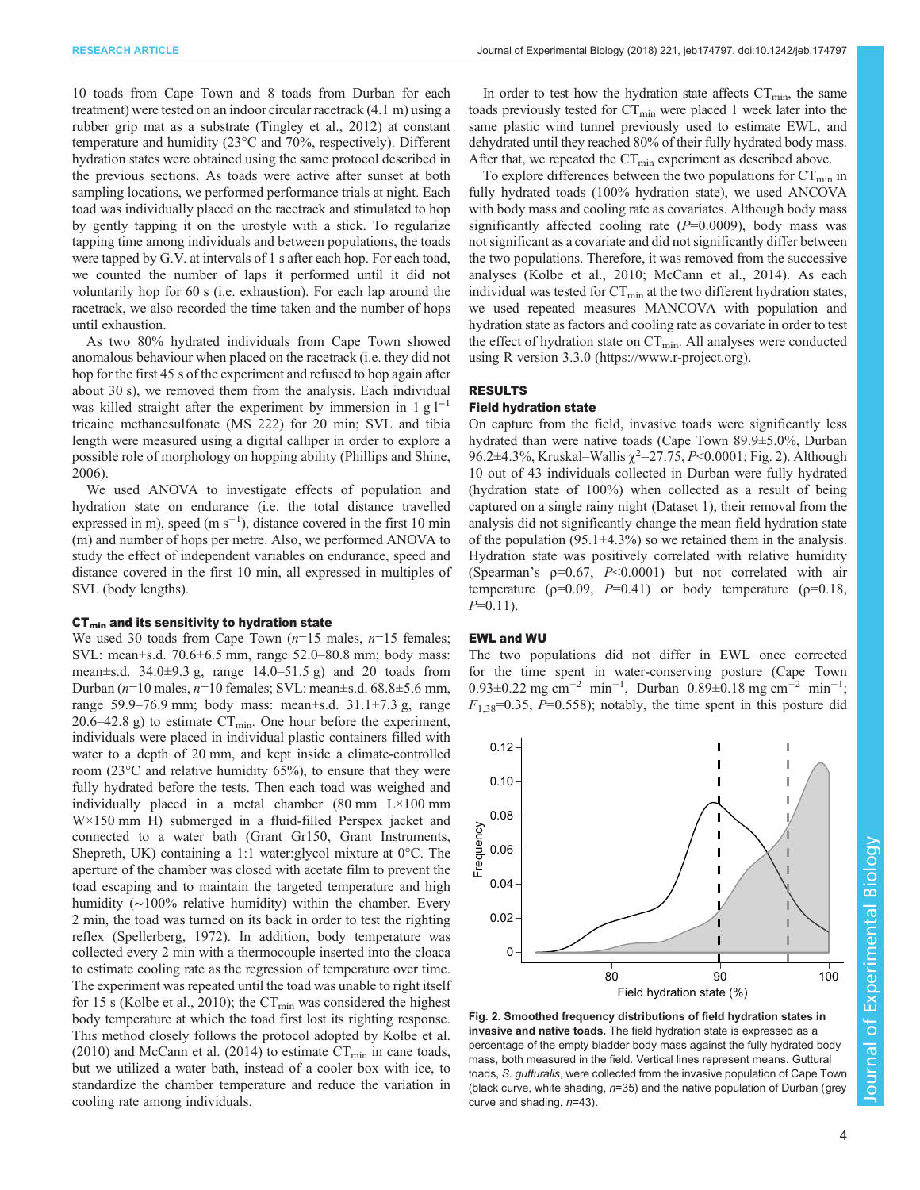<span id="page-3-0"></span>10 toads from Cape Town and 8 toads from Durban for each treatment) were tested on an indoor circular racetrack (4.1 m) using a rubber grip mat as a substrate [\(Tingley et al., 2012](#page-7-0)) at constant temperature and humidity (23°C and 70%, respectively). Different hydration states were obtained using the same protocol described in the previous sections. As toads were active after sunset at both sampling locations, we performed performance trials at night. Each toad was individually placed on the racetrack and stimulated to hop by gently tapping it on the urostyle with a stick. To regularize tapping time among individuals and between populations, the toads were tapped by G.V. at intervals of 1 s after each hop. For each toad, we counted the number of laps it performed until it did not voluntarily hop for 60 s (i.e. exhaustion). For each lap around the racetrack, we also recorded the time taken and the number of hops until exhaustion.

As two 80% hydrated individuals from Cape Town showed anomalous behaviour when placed on the racetrack (i.e. they did not hop for the first 45 s of the experiment and refused to hop again after about 30 s), we removed them from the analysis. Each individual was killed straight after the experiment by immersion in 1 g  $l^{-1}$ tricaine methanesulfonate (MS 222) for 20 min; SVL and tibia length were measured using a digital calliper in order to explore a possible role of morphology on hopping ability [\(Phillips and Shine,](#page-7-0) [2006](#page-7-0)).

We used ANOVA to investigate effects of population and hydration state on endurance (i.e. the total distance travelled expressed in m), speed  $(m s<sup>-1</sup>)$ , distance covered in the first 10 min (m) and number of hops per metre. Also, we performed ANOVA to study the effect of independent variables on endurance, speed and distance covered in the first 10 min, all expressed in multiples of SVL (body lengths).

## $CT<sub>min</sub>$  and its sensitivity to hydration state

We used 30 toads from Cape Town  $(n=15 \text{ males}, n=15 \text{ females})$ ; SVL: mean±s.d. 70.6±6.5 mm, range 52.0–80.8 mm; body mass: mean $\pm$ s.d. 34.0 $\pm$ 9.3 g, range 14.0–51.5 g) and 20 toads from Durban (n=10 males, n=10 females; SVL: mean±s.d. 68.8±5.6 mm, range 59.9–76.9 mm; body mass: mean $\pm$ s.d. 31.1 $\pm$ 7.3 g, range 20.6–42.8 g) to estimate  $CT_{\text{min}}$ . One hour before the experiment, individuals were placed in individual plastic containers filled with water to a depth of 20 mm, and kept inside a climate-controlled room (23°C and relative humidity 65%), to ensure that they were fully hydrated before the tests. Then each toad was weighed and individually placed in a metal chamber  $(80 \text{ mm} \quad L \times 100 \text{ mm})$ W×150 mm H) submerged in a fluid-filled Perspex jacket and connected to a water bath (Grant Gr150, Grant Instruments, Shepreth, UK) containing a 1:1 water:glycol mixture at 0°C. The aperture of the chamber was closed with acetate film to prevent the toad escaping and to maintain the targeted temperature and high humidity (∼100% relative humidity) within the chamber. Every 2 min, the toad was turned on its back in order to test the righting reflex [\(Spellerberg, 1972](#page-7-0)). In addition, body temperature was collected every 2 min with a thermocouple inserted into the cloaca to estimate cooling rate as the regression of temperature over time. The experiment was repeated until the toad was unable to right itself for 15 s ([Kolbe et al., 2010\)](#page-7-0); the  $CT_{min}$  was considered the highest body temperature at which the toad first lost its righting response. This method closely follows the protocol adopted by [Kolbe et al.](#page-7-0) [\(2010\)](#page-7-0) and [McCann et al. \(2014\)](#page-7-0) to estimate  $CT_{min}$  in cane toads, but we utilized a water bath, instead of a cooler box with ice, to standardize the chamber temperature and reduce the variation in cooling rate among individuals.

In order to test how the hydration state affects  $CT_{min}$ , the same toads previously tested for  $CT_{\text{min}}$  were placed 1 week later into the same plastic wind tunnel previously used to estimate EWL, and dehydrated until they reached 80% of their fully hydrated body mass. After that, we repeated the  $CT_{min}$  experiment as described above.

To explore differences between the two populations for  $CT_{\text{min}}$  in fully hydrated toads (100% hydration state), we used ANCOVA with body mass and cooling rate as covariates. Although body mass significantly affected cooling rate  $(P=0.0009)$ , body mass was not significant as a covariate and did not significantly differ between the two populations. Therefore, it was removed from the successive analyses ([Kolbe et al., 2010; McCann et al., 2014\)](#page-7-0). As each individual was tested for  $CT_{\text{min}}$  at the two different hydration states, we used repeated measures MANCOVA with population and hydration state as factors and cooling rate as covariate in order to test the effect of hydration state on  $CT_{min}$ . All analyses were conducted using R version 3.3.0 [\(https://www.r-project.org\)](https://www.r-project.org).

## RESULTS

## Field hydration state

On capture from the field, invasive toads were significantly less hydrated than were native toads (Cape Town 89.9±5.0%, Durban 96.2±4.3%, Kruskal–Wallis  $\chi^2$ =27.75, P<0.0001; Fig. 2). Although 10 out of 43 individuals collected in Durban were fully hydrated (hydration state of 100%) when collected as a result of being captured on a single rainy night ([Dataset 1\)](http://jeb.biologists.org/lookup/doi/10.1242/jeb.174797.supplemental), their removal from the analysis did not significantly change the mean field hydration state of the population  $(95.1 \pm 4.3\%)$  so we retained them in the analysis. Hydration state was positively correlated with relative humidity (Spearman's  $p=0.67$ ,  $P<0.0001$ ) but not correlated with air temperature ( $p=0.09$ ,  $P=0.41$ ) or body temperature ( $p=0.18$ ,  $P=0.11$ ).

## EWL and WU

The two populations did not differ in EWL once corrected for the time spent in water-conserving posture (Cape Town 0.93±0.22 mg cm<sup>-2</sup> min<sup>-1</sup>, Durban 0.89±0.18 mg cm<sup>-2</sup> min<sup>-1</sup>;  $F_{1,38}=0.35$ , P=0.558); notably, the time spent in this posture did



Fig. 2. Smoothed frequency distributions of field hydration states in invasive and native toads. The field hydration state is expressed as a percentage of the empty bladder body mass against the fully hydrated body mass, both measured in the field. Vertical lines represent means. Guttural toads, S. gutturalis, were collected from the invasive population of Cape Town (black curve, white shading, n=35) and the native population of Durban (grey curve and shading,  $n=43$ ).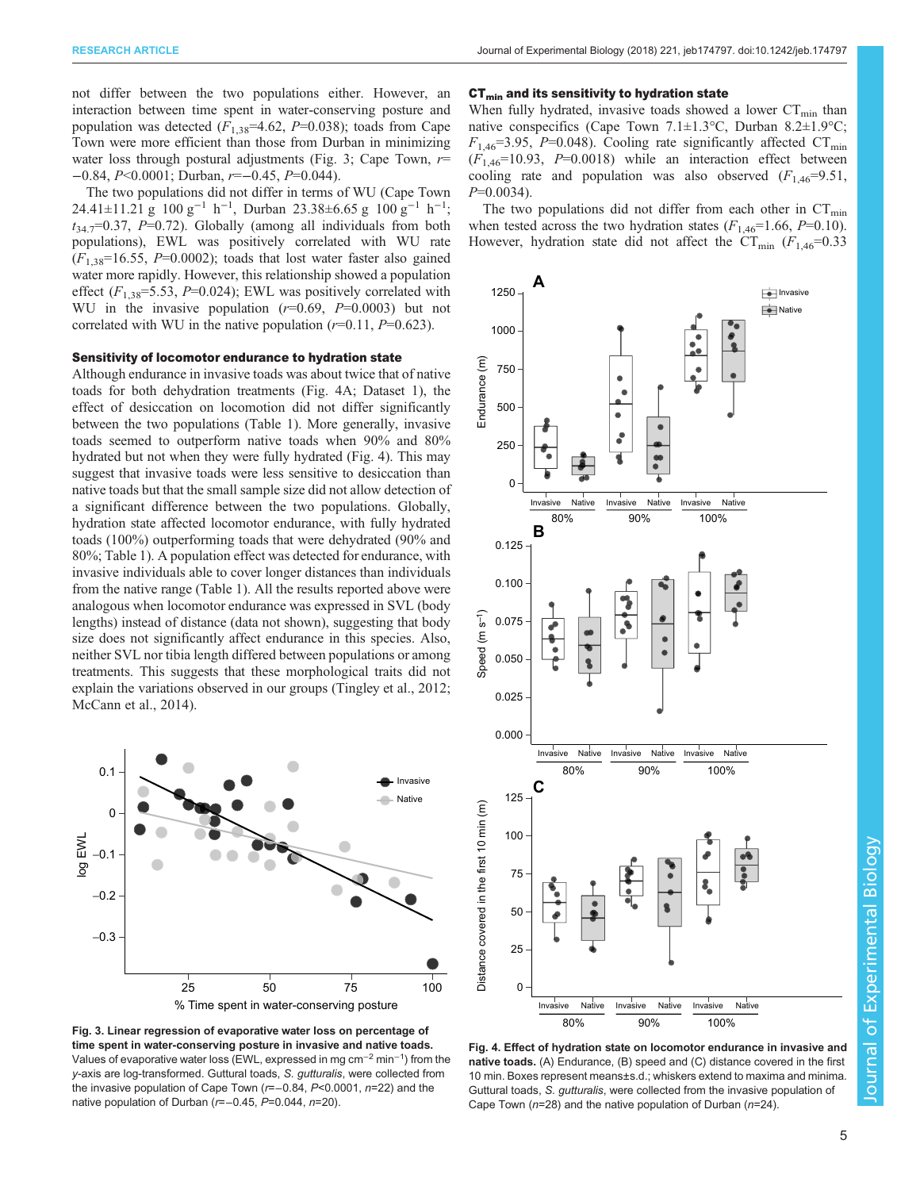<span id="page-4-0"></span>not differ between the two populations either. However, an interaction between time spent in water-conserving posture and population was detected  $(F_{1,38} = 4.62, P = 0.038)$ ; toads from Cape Town were more efficient than those from Durban in minimizing water loss through postural adjustments (Fig. 3; Cape Town,  $r=$ −0.84, P<0.0001; Durban, r=−0.45, P=0.044).

The two populations did not differ in terms of WU (Cape Town 24.41±11.21 g 100 g<sup>-1</sup> h<sup>-1</sup>, Durban 23.38±6.65 g 100 g<sup>-1</sup> h<sup>-1</sup>;  $t_{34.7}=0.37$ , P=0.72). Globally (among all individuals from both populations), EWL was positively correlated with WU rate  $(F<sub>1.38</sub>=16.55, P=0.0002)$ ; toads that lost water faster also gained water more rapidly. However, this relationship showed a population effect  $(F_{1,38} = 5.53, P = 0.024)$ ; EWL was positively correlated with WU in the invasive population  $(r=0.69, P=0.0003)$  but not correlated with WU in the native population  $(r=0.11, P=0.623)$ .

## Sensitivity of locomotor endurance to hydration state

Although endurance in invasive toads was about twice that of native toads for both dehydration treatments (Fig. 4A; [Dataset 1\)](http://jeb.biologists.org/lookup/doi/10.1242/jeb.174797.supplemental), the effect of desiccation on locomotion did not differ significantly between the two populations ([Table 1\)](#page-5-0). More generally, invasive toads seemed to outperform native toads when 90% and 80% hydrated but not when they were fully hydrated (Fig. 4). This may suggest that invasive toads were less sensitive to desiccation than native toads but that the small sample size did not allow detection of a significant difference between the two populations. Globally, hydration state affected locomotor endurance, with fully hydrated toads (100%) outperforming toads that were dehydrated (90% and 80%; [Table 1\)](#page-5-0). A population effect was detected for endurance, with invasive individuals able to cover longer distances than individuals from the native range [\(Table 1\)](#page-5-0). All the results reported above were analogous when locomotor endurance was expressed in SVL (body lengths) instead of distance (data not shown), suggesting that body size does not significantly affect endurance in this species. Also, neither SVL nor tibia length differed between populations or among treatments. This suggests that these morphological traits did not explain the variations observed in our groups ([Tingley et al., 2012](#page-7-0); [McCann et al., 2014\)](#page-7-0).



Fig. 3. Linear regression of evaporative water loss on percentage of time spent in water-conserving posture in invasive and native toads. Values of evaporative water loss (EWL, expressed in mg cm−<sup>2</sup> min−<sup>1</sup> ) from the y-axis are log-transformed. Guttural toads, S. gutturalis, were collected from the invasive population of Cape Town (r=−0.84, P<0.0001, n=22) and the native population of Durban (r=−0.45, P=0.044, n=20).

#### $CT<sub>min</sub>$  and its sensitivity to hydration state

When fully hydrated, invasive toads showed a lower  $CT_{min}$  than native conspecifics (Cape Town 7.1±1.3°C, Durban 8.2±1.9°C;  $F_{1,46}$ =3.95, P=0.048). Cooling rate significantly affected CT<sub>min</sub>  $(F<sub>1.46</sub>=10.93, P=0.0018)$  while an interaction effect between cooling rate and population was also observed  $(F_{1,46}=9.51,$  $P=0.0034$ ).

The two populations did not differ from each other in  $CT_{\text{min}}$ when tested across the two hydration states  $(F_{1,46}=1.66, P=0.10)$ . However, hydration state did not affect the  $CT_{\text{min}}$  ( $F_{1,46}=0.33$ )



Fig. 4. Effect of hydration state on locomotor endurance in invasive and native toads. (A) Endurance, (B) speed and (C) distance covered in the first 10 min. Boxes represent means±s.d.; whiskers extend to maxima and minima. Guttural toads, S. gutturalis, were collected from the invasive population of Cape Town ( $n=28$ ) and the native population of Durban ( $n=24$ ).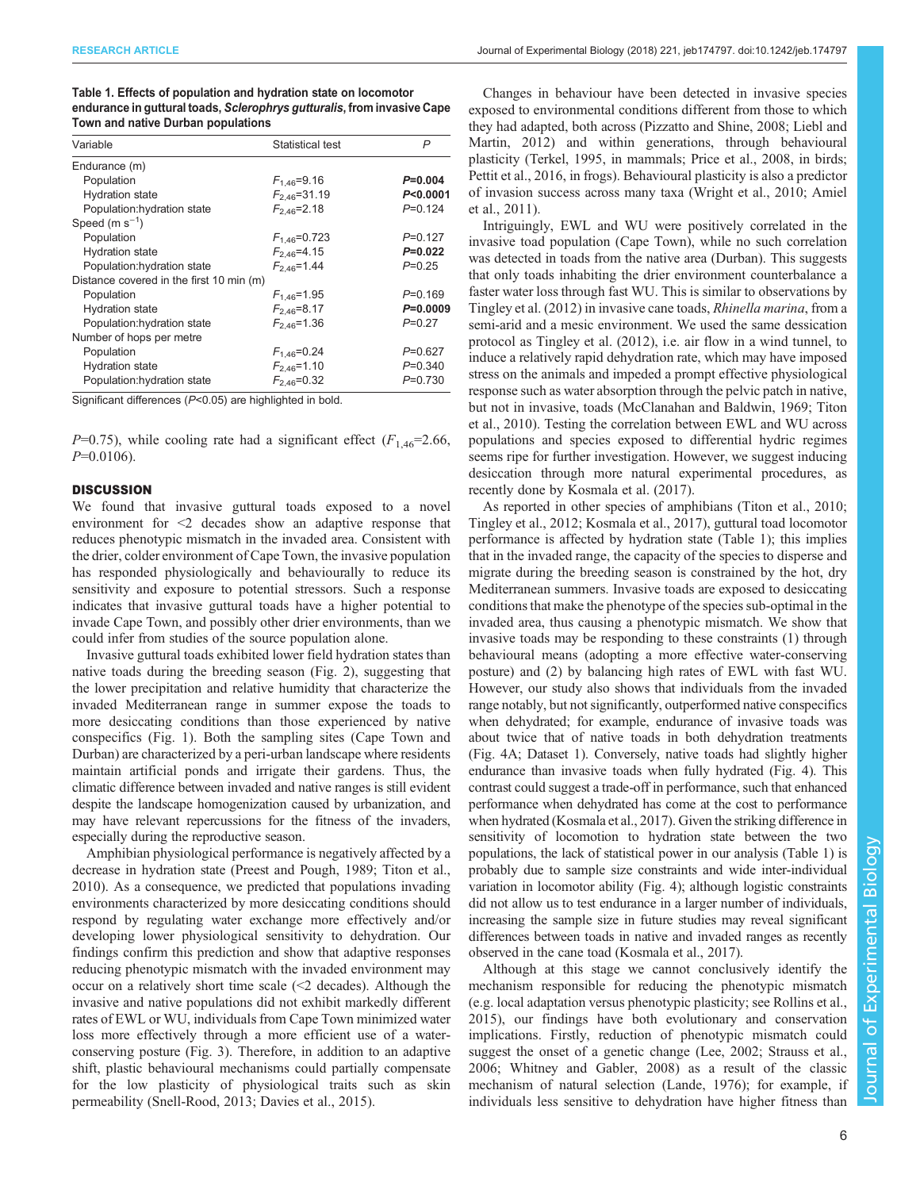<span id="page-5-0"></span>

| Table 1. Effects of population and hydration state on locomotor         |
|-------------------------------------------------------------------------|
| endurance in guttural toads, Sclerophrys gutturalis, from invasive Cape |
| Town and native Durban populations                                      |

| Variable                                 | Statistical test   | P           |
|------------------------------------------|--------------------|-------------|
| Endurance (m)                            |                    |             |
| Population                               | $F_{1.46} = 9.16$  | $P=0.004$   |
| <b>Hydration state</b>                   | $F_{2.46} = 31.19$ | P < 0.0001  |
| Population:hydration state               | $F_{2,46} = 2.18$  | $P = 0.124$ |
| Speed $(m s-1)$                          |                    |             |
| Population                               | $F_{1,46} = 0.723$ | $P=0.127$   |
| <b>Hydration state</b>                   | $F_{2,46} = 4.15$  | $P=0.022$   |
| Population:hydration state               | $F_{2,46} = 1.44$  | $P=0.25$    |
| Distance covered in the first 10 min (m) |                    |             |
| Population                               | $F_{1.46} = 1.95$  | $P = 0.169$ |
| <b>Hydration state</b>                   | $F_{2,46} = 8.17$  | $P=0.0009$  |
| Population:hydration state               | $F_{2.46} = 1.36$  | $P=0.27$    |
| Number of hops per metre                 |                    |             |
| Population                               | $F_{1,46} = 0.24$  | P=0.627     |
| <b>Hydration state</b>                   | $F_{2.46} = 1.10$  | $P = 0.340$ |
| Population:hydration state               | $F_{2,46} = 0.32$  | $P = 0.730$ |

Significant differences (P<0.05) are highlighted in bold.

 $P=0.75$ ), while cooling rate had a significant effect  $(F<sub>1.46</sub>=2.66$ ,  $P=0.0106$ ).

# **DISCUSSION**

We found that invasive guttural toads exposed to a novel environment for <2 decades show an adaptive response that reduces phenotypic mismatch in the invaded area. Consistent with the drier, colder environment of Cape Town, the invasive population has responded physiologically and behaviourally to reduce its sensitivity and exposure to potential stressors. Such a response indicates that invasive guttural toads have a higher potential to invade Cape Town, and possibly other drier environments, than we could infer from studies of the source population alone.

Invasive guttural toads exhibited lower field hydration states than native toads during the breeding season ([Fig. 2](#page-3-0)), suggesting that the lower precipitation and relative humidity that characterize the invaded Mediterranean range in summer expose the toads to more desiccating conditions than those experienced by native conspecifics ([Fig. 1\)](#page-1-0). Both the sampling sites (Cape Town and Durban) are characterized by a peri-urban landscape where residents maintain artificial ponds and irrigate their gardens. Thus, the climatic difference between invaded and native ranges is still evident despite the landscape homogenization caused by urbanization, and may have relevant repercussions for the fitness of the invaders, especially during the reproductive season.

Amphibian physiological performance is negatively affected by a decrease in hydration state ([Preest and Pough, 1989; Titon et al.,](#page-7-0) [2010](#page-7-0)). As a consequence, we predicted that populations invading environments characterized by more desiccating conditions should respond by regulating water exchange more effectively and/or developing lower physiological sensitivity to dehydration. Our findings confirm this prediction and show that adaptive responses reducing phenotypic mismatch with the invaded environment may occur on a relatively short time scale (<2 decades). Although the invasive and native populations did not exhibit markedly different rates of EWL or WU, individuals from Cape Town minimized water loss more effectively through a more efficient use of a waterconserving posture [\(Fig. 3](#page-4-0)). Therefore, in addition to an adaptive shift, plastic behavioural mechanisms could partially compensate for the low plasticity of physiological traits such as skin permeability [\(Snell-Rood, 2013](#page-7-0); [Davies et al., 2015\)](#page-6-0).

Changes in behaviour have been detected in invasive species exposed to environmental conditions different from those to which they had adapted, both across ([Pizzatto and Shine, 2008; Liebl and](#page-7-0) [Martin, 2012\)](#page-7-0) and within generations, through behavioural plasticity ([Terkel, 1995](#page-7-0), in mammals; [Price et al., 2008](#page-7-0), in birds; [Pettit et al., 2016,](#page-7-0) in frogs). Behavioural plasticity is also a predictor of invasion success across many taxa ([Wright et al., 2010;](#page-8-0) [Amiel](#page-6-0) [et al., 2011\)](#page-6-0).

Intriguingly, EWL and WU were positively correlated in the invasive toad population (Cape Town), while no such correlation was detected in toads from the native area (Durban). This suggests that only toads inhabiting the drier environment counterbalance a faster water loss through fast WU. This is similar to observations by [Tingley et al. \(2012\)](#page-7-0) in invasive cane toads, Rhinella marina, from a semi-arid and a mesic environment. We used the same dessication protocol as [Tingley et al. \(2012\),](#page-7-0) i.e. air flow in a wind tunnel, to induce a relatively rapid dehydration rate, which may have imposed stress on the animals and impeded a prompt effective physiological response such as water absorption through the pelvic patch in native, but not in invasive, toads [\(McClanahan and Baldwin, 1969](#page-7-0); [Titon](#page-7-0) [et al., 2010](#page-7-0)). Testing the correlation between EWL and WU across populations and species exposed to differential hydric regimes seems ripe for further investigation. However, we suggest inducing desiccation through more natural experimental procedures, as recently done by [Kosmala et al. \(2017\)](#page-7-0).

As reported in other species of amphibians [\(Titon et al., 2010](#page-7-0); [Tingley et al., 2012](#page-7-0); [Kosmala et al., 2017\)](#page-7-0), guttural toad locomotor performance is affected by hydration state (Table 1); this implies that in the invaded range, the capacity of the species to disperse and migrate during the breeding season is constrained by the hot, dry Mediterranean summers. Invasive toads are exposed to desiccating conditions that make the phenotype of the species sub-optimal in the invaded area, thus causing a phenotypic mismatch. We show that invasive toads may be responding to these constraints (1) through behavioural means (adopting a more effective water-conserving posture) and (2) by balancing high rates of EWL with fast WU. However, our study also shows that individuals from the invaded range notably, but not significantly, outperformed native conspecifics when dehydrated; for example, endurance of invasive toads was about twice that of native toads in both dehydration treatments [\(Fig. 4](#page-4-0)A; [Dataset 1\)](http://jeb.biologists.org/lookup/doi/10.1242/jeb.174797.supplemental). Conversely, native toads had slightly higher endurance than invasive toads when fully hydrated [\(Fig. 4](#page-4-0)). This contrast could suggest a trade-off in performance, such that enhanced performance when dehydrated has come at the cost to performance when hydrated [\(Kosmala et al., 2017\)](#page-7-0). Given the striking difference in sensitivity of locomotion to hydration state between the two populations, the lack of statistical power in our analysis (Table 1) is probably due to sample size constraints and wide inter-individual variation in locomotor ability [\(Fig. 4\)](#page-4-0); although logistic constraints did not allow us to test endurance in a larger number of individuals, increasing the sample size in future studies may reveal significant differences between toads in native and invaded ranges as recently observed in the cane toad [\(Kosmala et al., 2017\)](#page-7-0).

Although at this stage we cannot conclusively identify the mechanism responsible for reducing the phenotypic mismatch (e.g. local adaptation versus phenotypic plasticity; see [Rollins et al.,](#page-7-0) [2015\)](#page-7-0), our findings have both evolutionary and conservation implications. Firstly, reduction of phenotypic mismatch could suggest the onset of a genetic change [\(Lee, 2002](#page-7-0); [Strauss et al.,](#page-7-0) [2006;](#page-7-0) [Whitney and Gabler, 2008](#page-8-0)) as a result of the classic mechanism of natural selection ([Lande, 1976\)](#page-7-0); for example, if individuals less sensitive to dehydration have higher fitness than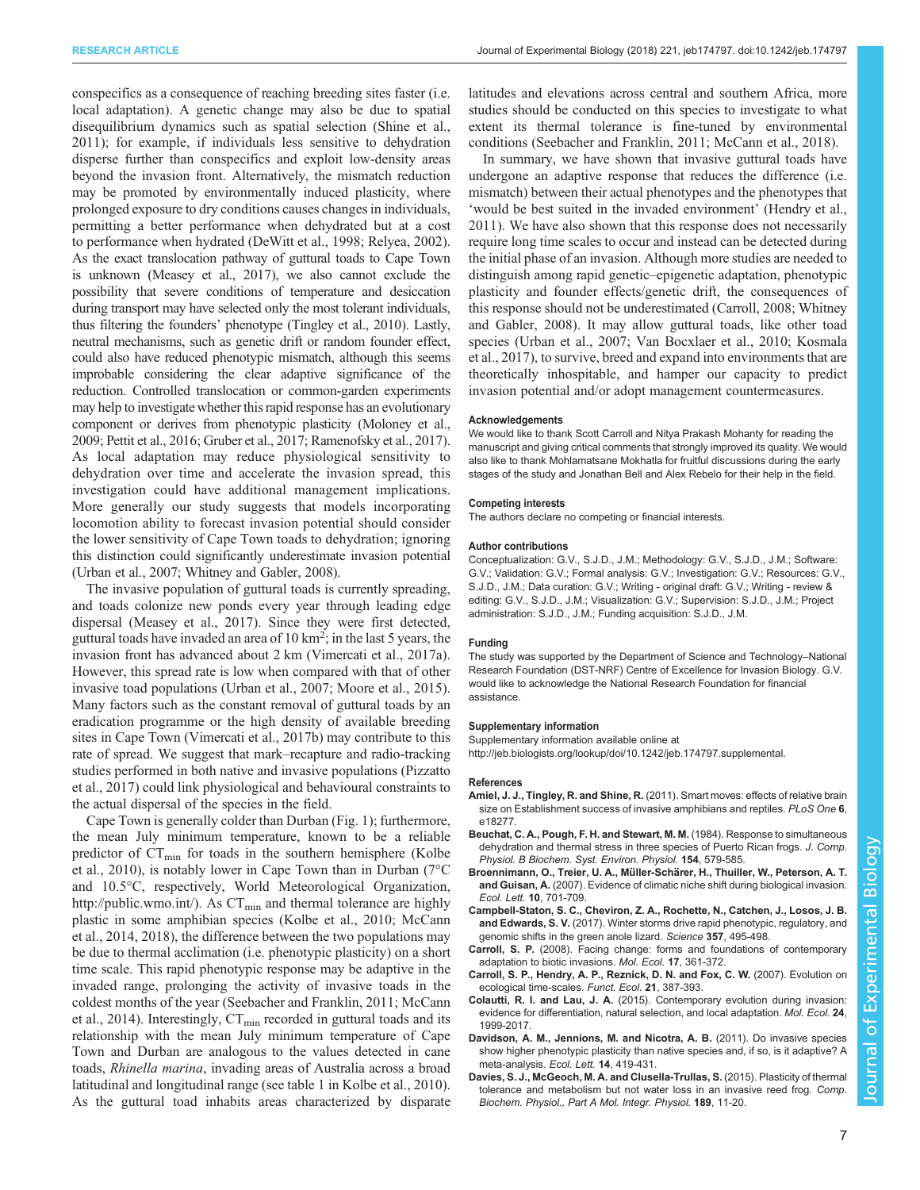<span id="page-6-0"></span>conspecifics as a consequence of reaching breeding sites faster (i.e. local adaptation). A genetic change may also be due to spatial disequilibrium dynamics such as spatial selection [\(Shine et al.,](#page-7-0) [2011](#page-7-0)); for example, if individuals less sensitive to dehydration disperse further than conspecifics and exploit low-density areas beyond the invasion front. Alternatively, the mismatch reduction may be promoted by environmentally induced plasticity, where prolonged exposure to dry conditions causes changes in individuals, permitting a better performance when dehydrated but at a cost to performance when hydrated [\(DeWitt et al., 1998](#page-7-0); [Relyea, 2002\)](#page-7-0). As the exact translocation pathway of guttural toads to Cape Town is unknown [\(Measey et al., 2017\)](#page-7-0), we also cannot exclude the possibility that severe conditions of temperature and desiccation during transport may have selected only the most tolerant individuals, thus filtering the founders' phenotype [\(Tingley et al., 2010](#page-7-0)). Lastly, neutral mechanisms, such as genetic drift or random founder effect, could also have reduced phenotypic mismatch, although this seems improbable considering the clear adaptive significance of the reduction. Controlled translocation or common-garden experiments may help to investigate whether this rapid response has an evolutionary component or derives from phenotypic plasticity [\(Moloney et al.,](#page-7-0) [2009](#page-7-0); [Pettit et al., 2016](#page-7-0); [Gruber et al., 2017; Ramenofsky et al., 2017\)](#page-7-0). As local adaptation may reduce physiological sensitivity to dehydration over time and accelerate the invasion spread, this investigation could have additional management implications. More generally our study suggests that models incorporating locomotion ability to forecast invasion potential should consider the lower sensitivity of Cape Town toads to dehydration; ignoring this distinction could significantly underestimate invasion potential [\(Urban et al., 2007](#page-8-0); [Whitney and Gabler, 2008\)](#page-8-0).

The invasive population of guttural toads is currently spreading, and toads colonize new ponds every year through leading edge dispersal ([Measey et al., 2017\)](#page-7-0). Since they were first detected, guttural toads have invaded an area of  $10 \text{ km}^2$ ; in the last 5 years, the invasion front has advanced about 2 km [\(Vimercati et al., 2017a\)](#page-8-0). However, this spread rate is low when compared with that of other invasive toad populations [\(Urban et al., 2007](#page-8-0); [Moore et al., 2015\)](#page-7-0). Many factors such as the constant removal of guttural toads by an eradication programme or the high density of available breeding sites in Cape Town ([Vimercati et al., 2017b](#page-8-0)) may contribute to this rate of spread. We suggest that mark–recapture and radio-tracking studies performed in both native and invasive populations ([Pizzatto](#page-7-0) [et al., 2017\)](#page-7-0) could link physiological and behavioural constraints to the actual dispersal of the species in the field.

Cape Town is generally colder than Durban ([Fig. 1](#page-1-0)); furthermore, the mean July minimum temperature, known to be a reliable predictor of  $CT_{\text{min}}$  for toads in the southern hemisphere ([Kolbe](#page-7-0) [et al., 2010](#page-7-0)), is notably lower in Cape Town than in Durban (7°C and 10.5°C, respectively, World Meteorological Organization, <http://public.wmo.int/>). As  $CT_{min}$  and thermal tolerance are highly plastic in some amphibian species ([Kolbe et al., 2010; McCann](#page-7-0) [et al., 2014, 2018](#page-7-0)), the difference between the two populations may be due to thermal acclimation (i.e. phenotypic plasticity) on a short time scale. This rapid phenotypic response may be adaptive in the invaded range, prolonging the activity of invasive toads in the coldest months of the year [\(Seebacher and Franklin, 2011; McCann](#page-7-0) [et al., 2014](#page-7-0)). Interestingly,  $CT_{\text{min}}$  recorded in guttural toads and its relationship with the mean July minimum temperature of Cape Town and Durban are analogous to the values detected in cane toads, Rhinella marina, invading areas of Australia across a broad latitudinal and longitudinal range (see table 1 in [Kolbe et al., 2010\)](#page-7-0). As the guttural toad inhabits areas characterized by disparate

latitudes and elevations across central and southern Africa, more studies should be conducted on this species to investigate to what extent its thermal tolerance is fine-tuned by environmental conditions [\(Seebacher and Franklin, 2011](#page-7-0); [McCann et al., 2018](#page-7-0)).

In summary, we have shown that invasive guttural toads have undergone an adaptive response that reduces the difference (i.e. mismatch) between their actual phenotypes and the phenotypes that 'would be best suited in the invaded environment' ([Hendry et al.,](#page-7-0) [2011\)](#page-7-0). We have also shown that this response does not necessarily require long time scales to occur and instead can be detected during the initial phase of an invasion. Although more studies are needed to distinguish among rapid genetic–epigenetic adaptation, phenotypic plasticity and founder effects/genetic drift, the consequences of this response should not be underestimated (Carroll, 2008; [Whitney](#page-8-0) [and Gabler, 2008](#page-8-0)). It may allow guttural toads, like other toad species ([Urban et al., 2007](#page-8-0); [Van Bocxlaer et al., 2010](#page-8-0); [Kosmala](#page-7-0) [et al., 2017\)](#page-7-0), to survive, breed and expand into environments that are theoretically inhospitable, and hamper our capacity to predict invasion potential and/or adopt management countermeasures.

#### **Acknowledgements**

We would like to thank Scott Carroll and Nitya Prakash Mohanty for reading the manuscript and giving critical comments that strongly improved its quality. We would also like to thank Mohlamatsane Mokhatla for fruitful discussions during the early stages of the study and Jonathan Bell and Alex Rebelo for their help in the field.

#### Competing interests

The authors declare no competing or financial interests.

#### Author contributions

Conceptualization: G.V., S.J.D., J.M.; Methodology: G.V., S.J.D., J.M.; Software: G.V.; Validation: G.V.; Formal analysis: G.V.; Investigation: G.V.; Resources: G.V., S.J.D., J.M.; Data curation: G.V.; Writing - original draft: G.V.; Writing - review & editing: G.V., S.J.D., J.M.; Visualization: G.V.; Supervision: S.J.D., J.M.; Project administration: S.J.D., J.M.; Funding acquisition: S.J.D., J.M.

#### Funding

The study was supported by the Department of Science and Technology–National Research Foundation (DST-NRF) Centre of Excellence for Invasion Biology. G.V. would like to acknowledge the National Research Foundation for financial assistance.

#### Supplementary information

Supplementary information available online at <http://jeb.biologists.org/lookup/doi/10.1242/jeb.174797.supplemental>.

#### References

- Amiel, J. J., Tingley, R. and Shine, R. [\(2011\). Smart moves: effects of relative brain](http://dx.doi.org/10.1371/journal.pone.0018277) [size on Establishment success of invasive amphibians and reptiles.](http://dx.doi.org/10.1371/journal.pone.0018277) PLoS One 6, [e18277.](http://dx.doi.org/10.1371/journal.pone.0018277)
- [Beuchat, C. A., Pough, F. H. and Stewart, M. M.](http://dx.doi.org/10.1007/BF00684411) (1984). Response to simultaneous [dehydration and thermal stress in three species of Puerto Rican frogs.](http://dx.doi.org/10.1007/BF00684411) J. Comp. [Physiol. B Biochem. Syst. Environ. Physiol.](http://dx.doi.org/10.1007/BF00684411) 154, 579-585.
- Broennimann, O., Treier, U. A., Müller-Schä[rer, H., Thuiller, W., Peterson, A. T.](http://dx.doi.org/10.1111/j.1461-0248.2007.01060.x) and Guisan, A. [\(2007\). Evidence of climatic niche shift during biological invasion.](http://dx.doi.org/10.1111/j.1461-0248.2007.01060.x) Ecol. Lett. 10[, 701-709.](http://dx.doi.org/10.1111/j.1461-0248.2007.01060.x)
- [Campbell-Staton, S. C., Cheviron, Z. A., Rochette, N., Catchen, J., Losos, J. B.](http://dx.doi.org/10.1126/science.aam5512) and Edwards, S. V. [\(2017\). Winter storms drive rapid phenotypic, regulatory, and](http://dx.doi.org/10.1126/science.aam5512) [genomic shifts in the green anole lizard.](http://dx.doi.org/10.1126/science.aam5512) Science 357, 495-498.
- Carroll, S. P. [\(2008\). Facing change: forms and foundations of contemporary](http://dx.doi.org/10.1111/j.1365-294X.2007.03484.x) [adaptation to biotic invasions.](http://dx.doi.org/10.1111/j.1365-294X.2007.03484.x) Mol. Ecol. 17, 361-372.
- [Carroll, S. P., Hendry, A. P., Reznick, D. N. and Fox, C. W.](http://dx.doi.org/10.1111/j.1365-2435.2007.01289.x) (2007). Evolution on [ecological time-scales.](http://dx.doi.org/10.1111/j.1365-2435.2007.01289.x) Funct. Ecol. 21, 387-393.
- Colautti, R. I. and Lau, J. A. (2015). Contemporary evolution during invasion: evidence for differentiation, natural selection, and local adaptation. Mol. Ecol. 24, 1999-2017.
- [Davidson, A. M., Jennions, M. and Nicotra, A. B.](http://dx.doi.org/10.1111/j.1461-0248.2011.01596.x) (2011). Do invasive species [show higher phenotypic plasticity than native species and, if so, is it adaptive? A](http://dx.doi.org/10.1111/j.1461-0248.2011.01596.x) [meta-analysis.](http://dx.doi.org/10.1111/j.1461-0248.2011.01596.x) Ecol. Lett. 14, 419-431.
- [Davies, S. J., McGeoch, M. A. and Clusella-Trullas, S.](http://dx.doi.org/10.1016/j.cbpa.2015.06.033) (2015). Plasticity of thermal [tolerance and metabolism but not water loss in an invasive reed frog.](http://dx.doi.org/10.1016/j.cbpa.2015.06.033) Comp. [Biochem. Physiol., Part A Mol. Integr. Physiol.](http://dx.doi.org/10.1016/j.cbpa.2015.06.033) 189, 11-20.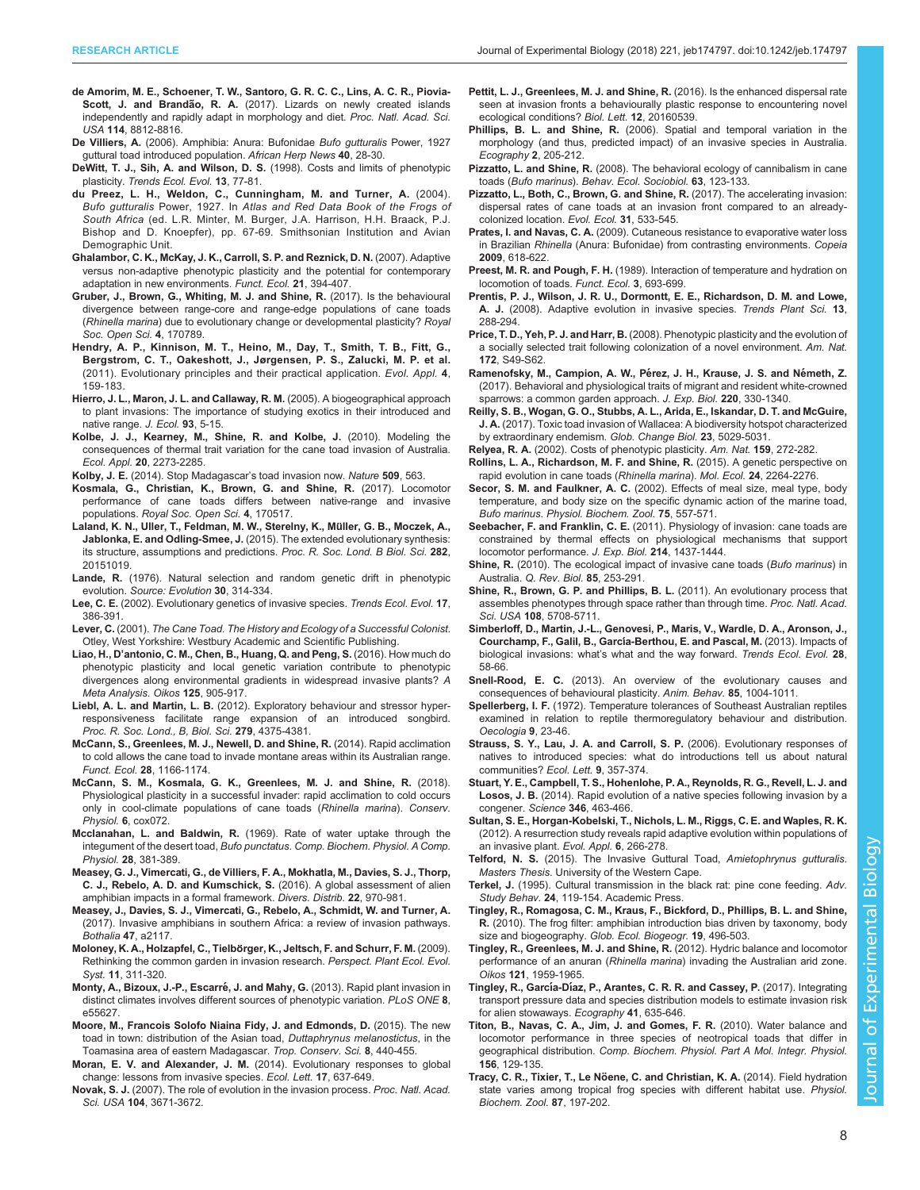- <span id="page-7-0"></span>de Amorim, M. E., Schoener, T. W., Santoro, G. R. C. C., Lins, A. C. R., Piovia-Scott, J. and Brandão, R. A. (2017). Lizards on newly created islands independently and rapidly adapt in morphology and diet. Proc. Natl. Acad. Sci. USA 114, 8812-8816.
- De Villiers, A. (2006). Amphibia: Anura: Bufonidae Bufo gutturalis Power, 1927 guttural toad introduced population. African Herp News 40, 28-30.
- [DeWitt, T. J., Sih, A. and Wilson, D. S.](http://dx.doi.org/10.1016/S0169-5347(97)01274-3) (1998). Costs and limits of phenotypic plasticity. [Trends Ecol. Evol.](http://dx.doi.org/10.1016/S0169-5347(97)01274-3) 13, 77-81.
- du Preez, L. H., Weldon, C., Cunningham, M. and Turner, A. (2004). Bufo gutturalis Power, 1927. In Atlas and Red Data Book of the Frogs of South Africa (ed. L.R. Minter, M. Burger, J.A. Harrison, H.H. Braack, P.J. Bishop and D. Knoepfer), pp. 67-69. Smithsonian Institution and Avian Demographic Unit.
- [Ghalambor, C. K., McKay, J. K., Carroll, S. P. and Reznick, D. N.](http://dx.doi.org/10.1111/j.1365-2435.2007.01283.x) (2007). Adaptive [versus non-adaptive phenotypic plasticity and the potential for contemporary](http://dx.doi.org/10.1111/j.1365-2435.2007.01283.x) [adaptation in new environments.](http://dx.doi.org/10.1111/j.1365-2435.2007.01283.x) Funct. Ecol. 21, 394-407.
- [Gruber, J., Brown, G., Whiting, M. J. and Shine, R.](http://dx.doi.org/10.1098/rsos.170789) (2017). Is the behavioural [divergence between range-core and range-edge populations of cane toads](http://dx.doi.org/10.1098/rsos.170789) (Rhinella marina[\) due to evolutionary change or developmental plasticity?](http://dx.doi.org/10.1098/rsos.170789) Royal [Soc. Open Sci.](http://dx.doi.org/10.1098/rsos.170789) 4, 170789.
- [Hendry, A. P., Kinnison, M. T., Heino, M., Day, T., Smith, T. B., Fitt, G.,](http://dx.doi.org/10.1111/j.1752-4571.2010.00165.x) [Bergstrom, C. T., Oakeshott, J., Jørgensen, P. S., Zalucki, M. P. et al.](http://dx.doi.org/10.1111/j.1752-4571.2010.00165.x) [\(2011\). Evolutionary principles and their practical application.](http://dx.doi.org/10.1111/j.1752-4571.2010.00165.x) Evol. Appl. 4, [159-183.](http://dx.doi.org/10.1111/j.1752-4571.2010.00165.x)
- [Hierro, J. L., Maron, J. L. and Callaway, R. M.](http://dx.doi.org/10.1111/j.0022-0477.2004.00953.x) (2005). A biogeographical approach [to plant invasions: The importance of studying exotics in their introduced and](http://dx.doi.org/10.1111/j.0022-0477.2004.00953.x) [native range.](http://dx.doi.org/10.1111/j.0022-0477.2004.00953.x) J. Ecol. 93, 5-15.
- [Kolbe, J. J., Kearney, M., Shine, R. and Kolbe, J.](http://dx.doi.org/10.1890/09-1973.1) (2010). Modeling the [consequences of thermal trait variation for the cane toad invasion of Australia.](http://dx.doi.org/10.1890/09-1973.1) Ecol. Appl. 20[, 2273-2285.](http://dx.doi.org/10.1890/09-1973.1)
- Kolby, J. E. [\(2014\). Stop Madagascar](http://dx.doi.org/10.1038/509563a)'s toad invasion now. Nature 509, 563.
- [Kosmala, G., Christian, K., Brown, G. and Shine, R.](http://dx.doi.org/10.1098/rsos.170517) (2017). Locomotor [performance of cane toads differs between native-range and invasive](http://dx.doi.org/10.1098/rsos.170517) populations. [Royal Soc. Open Sci.](http://dx.doi.org/10.1098/rsos.170517) 4, 170517.
- [Laland, K. N., Uller, T., Feldman, M. W., Sterelny, K., Mu](http://dx.doi.org/10.1098/rspb.2015.1019)̈ller, G. B., Moczek, A., Jablonka, E. and Odling-Smee, J. [\(2015\). The extended evolutionary synthesis:](http://dx.doi.org/10.1098/rspb.2015.1019) [its structure, assumptions and predictions.](http://dx.doi.org/10.1098/rspb.2015.1019) Proc. R. Soc. Lond. B Biol. Sci. 282, [20151019.](http://dx.doi.org/10.1098/rspb.2015.1019)
- Lande, R. [\(1976\). Natural selection and random genetic drift in phenotypic](http://dx.doi.org/10.1111/j.1558-5646.1976.tb00911.x) evolution. [Source: Evolution](http://dx.doi.org/10.1111/j.1558-5646.1976.tb00911.x) 30, 314-334.
- Lee, C. E. [\(2002\). Evolutionary genetics of invasive species.](http://dx.doi.org/10.1016/S0169-5347(02)02554-5) Trends Ecol. Evol. 17, [386-391.](http://dx.doi.org/10.1016/S0169-5347(02)02554-5)
- Lever, C. (2001). The Cane Toad. The History and Ecology of a Successful Colonist. Otley, West Yorkshire: Westbury Academic and Scientific Publishing.
- Liao, H., D'[antonio, C. M., Chen, B., Huang, Q. and Peng, S.](http://dx.doi.org/10.1111/oik.02372) (2016). How much do [phenotypic plasticity and local genetic variation contribute to phenotypic](http://dx.doi.org/10.1111/oik.02372) [divergences along environmental gradients in widespread invasive plants?](http://dx.doi.org/10.1111/oik.02372) A [Meta Analysis. Oikos](http://dx.doi.org/10.1111/oik.02372) 125, 905-917.
- Liebl, A. L. and Martin, L. B. [\(2012\). Exploratory behaviour and stressor hyper](http://dx.doi.org/10.1098/rspb.2012.1606)[responsiveness facilitate range expansion of an introduced songbird.](http://dx.doi.org/10.1098/rspb.2012.1606) [Proc. R. Soc. Lond., B, Biol. Sci.](http://dx.doi.org/10.1098/rspb.2012.1606) 279, 4375-4381.
- [McCann, S., Greenlees, M. J., Newell, D. and Shine, R.](http://dx.doi.org/10.1111/1365-2435.12255) (2014). Rapid acclimation [to cold allows the cane toad to invade montane areas within its Australian range.](http://dx.doi.org/10.1111/1365-2435.12255) Funct. Ecol. 28[, 1166-1174.](http://dx.doi.org/10.1111/1365-2435.12255)
- [McCann, S. M., Kosmala, G. K., Greenlees, M. J. and Shine, R.](http://dx.doi.org/10.1093/conphys/cox072) (2018). [Physiological plasticity in a successful invader: rapid acclimation to cold occurs](http://dx.doi.org/10.1093/conphys/cox072) [only in cool-climate populations of cane toads \(](http://dx.doi.org/10.1093/conphys/cox072)Rhinella marina). Conserv. Physiol. 6[, cox072.](http://dx.doi.org/10.1093/conphys/cox072)
- Mcclanahan, L. and Baldwin, R. [\(1969\). Rate of water uptake through the](http://dx.doi.org/10.1016/0010-406X(69)91351-6) integument of the desert toad, Bufo punctatus. [Comp. Biochem. Physiol. A Comp.](http://dx.doi.org/10.1016/0010-406X(69)91351-6) Physiol. 28[, 381-389.](http://dx.doi.org/10.1016/0010-406X(69)91351-6)
- [Measey, G. J., Vimercati, G., de Villiers, F. A., Mokhatla, M., Davies, S. J., Thorp,](http://dx.doi.org/10.1111/ddi.12462) [C. J., Rebelo, A. D. and Kumschick, S.](http://dx.doi.org/10.1111/ddi.12462) (2016). A global assessment of alien [amphibian impacts in a formal framework.](http://dx.doi.org/10.1111/ddi.12462) Divers. Distrib. 22, 970-981.
- [Measey, J., Davies, S. J., Vimercati, G., Rebelo, A., Schmidt, W. and Turner, A.](http://dx.doi.org/10.4102/abc.v47i2.2117) [\(2017\). Invasive amphibians in southern Africa: a review of invasion pathways.](http://dx.doi.org/10.4102/abc.v47i2.2117) Bothalia 47[, a2117.](http://dx.doi.org/10.4102/abc.v47i2.2117)
- Moloney, K. A., Holzapfel, C., Tielbö[rger, K., Jeltsch, F. and Schurr, F. M.](http://dx.doi.org/10.1016/j.ppees.2009.05.002) (2009). [Rethinking the common garden in invasion research.](http://dx.doi.org/10.1016/j.ppees.2009.05.002) Perspect. Plant Ecol. Evol. Syst. 11[, 311-320.](http://dx.doi.org/10.1016/j.ppees.2009.05.002)
- Monty, A., Bizoux, J.-P., Escarré, J. and Mahy, G. (2013). Rapid plant invasion in [distinct climates involves different sources of phenotypic variation.](http://dx.doi.org/10.1371/journal.pone.0055627) PLoS ONE 8, [e55627.](http://dx.doi.org/10.1371/journal.pone.0055627)
- [Moore, M., Francois Solofo Niaina Fidy, J. and Edmonds, D.](http://dx.doi.org/10.1177/194008291500800210) (2015). The new [toad in town: distribution of the Asian toad,](http://dx.doi.org/10.1177/194008291500800210) Duttaphrynus melanostictus, in the [Toamasina area of eastern Madagascar.](http://dx.doi.org/10.1177/194008291500800210) Trop. Conserv. Sci. 8, 440-455.
- Moran, E. V. and Alexander, J. M. [\(2014\). Evolutionary responses to global](http://dx.doi.org/10.1111/ele.12262) [change: lessons from invasive species.](http://dx.doi.org/10.1111/ele.12262) Ecol. Lett. 17, 637-649.
- Novak, S. J. [\(2007\). The role of evolution in the invasion process.](http://dx.doi.org/10.1073/pnas.0700224104) Proc. Natl. Acad. Sci. USA 104[, 3671-3672.](http://dx.doi.org/10.1073/pnas.0700224104)
- [Pettit, L. J., Greenlees, M. J. and Shine, R.](http://dx.doi.org/10.1098/rsbl.2016.0539) (2016). Is the enhanced dispersal rate [seen at invasion fronts a behaviourally plastic response to encountering novel](http://dx.doi.org/10.1098/rsbl.2016.0539) [ecological conditions?](http://dx.doi.org/10.1098/rsbl.2016.0539) Biol. Lett. 12, 20160539.
- Phillips, B. L. and Shine, R. [\(2006\). Spatial and temporal variation in the](http://dx.doi.org/10.1111/j.2006.0906-7590.04413.x) [morphology \(and thus, predicted impact\) of an invasive species in Australia.](http://dx.doi.org/10.1111/j.2006.0906-7590.04413.x) [Ecography](http://dx.doi.org/10.1111/j.2006.0906-7590.04413.x) 2, 205-212.
- Pizzatto, L. and Shine, R. [\(2008\). The behavioral ecology of cannibalism in cane](http://dx.doi.org/10.1007/s00265-008-0642-0) toads (Bufo marinus). [Behav. Ecol. Sociobiol.](http://dx.doi.org/10.1007/s00265-008-0642-0) 63, 123-133.
- [Pizzatto, L., Both, C., Brown, G. and Shine, R.](http://dx.doi.org/10.1007/s10682-017-9896-1) (2017). The accelerating invasion: [dispersal rates of cane toads at an invasion front compared to an already](http://dx.doi.org/10.1007/s10682-017-9896-1)[colonized location.](http://dx.doi.org/10.1007/s10682-017-9896-1) Evol. Ecol. 31, 533-545.
- Prates, I. and Navas, C. A. [\(2009\). Cutaneous resistance to evaporative water loss](http://dx.doi.org/10.1643/CP-08-128) in Brazilian Rhinella [\(Anura: Bufonidae\) from contrasting environments.](http://dx.doi.org/10.1643/CP-08-128) Copeia 2009[, 618-622.](http://dx.doi.org/10.1643/CP-08-128)
- Preest, M. R. and Pough, F. H. [\(1989\). Interaction of temperature and hydration on](http://dx.doi.org/10.2307/2389501) [locomotion of toads.](http://dx.doi.org/10.2307/2389501) Funct. Ecol. 3, 693-699.
- [Prentis, P. J., Wilson, J. R. U., Dormontt, E. E., Richardson, D. M. and Lowe,](http://dx.doi.org/10.1016/j.tplants.2008.03.004) A. J. [\(2008\). Adaptive evolution in invasive species.](http://dx.doi.org/10.1016/j.tplants.2008.03.004) Trends Plant Sci. 13, [288-294.](http://dx.doi.org/10.1016/j.tplants.2008.03.004)
- Price, T. D., Yeh, P. J. and Harr, B. [\(2008\). Phenotypic plasticity and the evolution of](http://dx.doi.org/10.1086/588257) [a socially selected trait following colonization of a novel environment.](http://dx.doi.org/10.1086/588257) Am. Nat. 172[, S49-S62.](http://dx.doi.org/10.1086/588257)
- Ramenofsky, M., Campion, A. W., Pérez, J. H., Krause, J. S. and Németh, Z. [\(2017\). Behavioral and physiological traits of migrant and resident white-crowned](http://dx.doi.org/10.1242/jeb.148171) [sparrows: a common garden approach.](http://dx.doi.org/10.1242/jeb.148171) J. Exp. Biol. 220, 330-1340.
- [Reilly, S. B., Wogan, G. O., Stubbs, A. L., Arida, E., Iskandar, D. T. and McGuire,](http://dx.doi.org/10.1111/gcb.13877) J. A. [\(2017\). Toxic toad invasion of Wallacea: A biodiversity hotspot characterized](http://dx.doi.org/10.1111/gcb.13877) [by extraordinary endemism.](http://dx.doi.org/10.1111/gcb.13877) Glob. Change Biol. 23, 5029-5031.
- Relyea, R. A. [\(2002\). Costs of phenotypic plasticity.](http://dx.doi.org/10.1086/338540) Am. Nat. 159, 272-282.
- [Rollins, L. A., Richardson, M. F. and Shine, R.](http://dx.doi.org/10.1111/mec.13184) (2015). A genetic perspective on [rapid evolution in cane toads \(](http://dx.doi.org/10.1111/mec.13184)Rhinella marina). Mol. Ecol. 24, 2264-2276.
- Secor, S. M. and Faulkner, A. C. [\(2002\). Effects of meal size, meal type, body](http://dx.doi.org/10.1086/344493) [temperature, and body size on the specific dynamic action of the marine toad,](http://dx.doi.org/10.1086/344493) Bufo marinus. [Physiol. Biochem. Zool.](http://dx.doi.org/10.1086/344493) 75, 557-571.
- Seebacher, F. and Franklin, C. E. [\(2011\). Physiology of invasion: cane toads are](http://dx.doi.org/10.1242/jeb.053124) [constrained by thermal effects on physiological mechanisms that support](http://dx.doi.org/10.1242/jeb.053124) [locomotor performance.](http://dx.doi.org/10.1242/jeb.053124) J. Exp. Biol. 214, 1437-1444.
- Shine, R. [\(2010\). The ecological impact of invasive cane toads \(](http://dx.doi.org/10.1086/655116)Bufo marinus) in Australia. [Q. Rev. Biol.](http://dx.doi.org/10.1086/655116) 85, 253-291.
- [Shine, R., Brown, G. P. and Phillips, B. L.](http://dx.doi.org/10.1073/pnas.1018989108) (2011). An evolutionary process that [assembles phenotypes through space rather than through time.](http://dx.doi.org/10.1073/pnas.1018989108) Proc. Natl. Acad. Sci. USA 108[, 5708-5711.](http://dx.doi.org/10.1073/pnas.1018989108)
- [Simberloff, D., Martin, J.-L., Genovesi, P., Maris, V., Wardle, D. A., Aronson, J.,](http://dx.doi.org/10.1016/j.tree.2012.07.013) [Courchamp, F., Galil, B., Garc](http://dx.doi.org/10.1016/j.tree.2012.07.013)ía-Berthou, E. and Pascal, M. (2013). Impacts of biological invasions: what'[s what and the way forward.](http://dx.doi.org/10.1016/j.tree.2012.07.013) Trends Ecol. Evol. 28, [58-66.](http://dx.doi.org/10.1016/j.tree.2012.07.013)
- Snell-Rood, E. C. [\(2013\). An overview of the evolutionary causes and](http://dx.doi.org/10.1016/j.anbehav.2012.12.031) [consequences of behavioural plasticity.](http://dx.doi.org/10.1016/j.anbehav.2012.12.031) Anim. Behav. 85, 1004-1011.
- Spellerberg, I. F. [\(1972\). Temperature tolerances of Southeast Australian reptiles](http://dx.doi.org/10.1007/BF00345241) [examined in relation to reptile thermoregulatory behaviour and distribution.](http://dx.doi.org/10.1007/BF00345241) [Oecologia](http://dx.doi.org/10.1007/BF00345241) 9, 23-46.
- [Strauss, S. Y., Lau, J. A. and Carroll, S. P.](http://dx.doi.org/10.1111/j.1461-0248.2005.00874.x) (2006). Evolutionary responses of [natives to introduced species: what do introductions tell us about natural](http://dx.doi.org/10.1111/j.1461-0248.2005.00874.x) [communities?](http://dx.doi.org/10.1111/j.1461-0248.2005.00874.x) Ecol. Lett. 9, 357-374.
- [Stuart, Y. E., Campbell, T. S., Hohenlohe, P. A., Reynolds, R. G., Revell, L. J. and](http://dx.doi.org/10.1126/science.1257008) Losos, J. B. [\(2014\). Rapid evolution of a native species following invasion by a](http://dx.doi.org/10.1126/science.1257008) congener. Science 346[, 463-466.](http://dx.doi.org/10.1126/science.1257008)
- Sultan, S. E., Horgan‐Kobelski, T., Nichols, L. M., Riggs, C. E. and Waples, R. K. (2012). A resurrection study reveals rapid adaptive evolution within populations of an invasive plant. Evol. Appl. 6, 266-278.
- Telford, N. S. (2015). The Invasive Guttural Toad, Amietophrynus gutturalis. Masters Thesis. University of the Western Cape.
- Terkel, J. [\(1995\). Cultural transmission in the black rat: pine cone feeding.](http://dx.doi.org/10.1016/S0065-3454(08)60393-9) Adv. Study Behav. 24[, 119-154. Academic Press.](http://dx.doi.org/10.1016/S0065-3454(08)60393-9)
- Tingley, R., Romagosa, C. M., Kraus, F., Bickford, D., Phillips, B. L. and Shine, R. (2010). The frog filter: amphibian introduction bias driven by taxonomy, body size and biogeography. Glob. Ecol. Biogeogr. 19, 496-503.
- [Tingley, R., Greenlees, M. J. and Shine, R.](http://dx.doi.org/10.1111/j.1600-0706.2012.20422.x) (2012). Hydric balance and locomotor performance of an anuran (Rhinella marina[\) invading the Australian arid zone.](http://dx.doi.org/10.1111/j.1600-0706.2012.20422.x) Oikos 121[, 1959-1965.](http://dx.doi.org/10.1111/j.1600-0706.2012.20422.x)
- Tingley, R., García-Dí[az, P., Arantes, C. R. R. and Cassey, P.](http://dx.doi.org/10.1111/ecog.02841) (2017). Integrating [transport pressure data and species distribution models to estimate invasion risk](http://dx.doi.org/10.1111/ecog.02841) [for alien stowaways.](http://dx.doi.org/10.1111/ecog.02841) Ecography 41, 635-646.
- [Titon, B., Navas, C. A., Jim, J. and Gomes, F. R.](http://dx.doi.org/10.1016/j.cbpa.2010.01.009) (2010). Water balance and [locomotor performance in three species of neotropical toads that differ in](http://dx.doi.org/10.1016/j.cbpa.2010.01.009) geographical distribution. [Comp. Biochem. Physiol. Part A Mol. Integr. Physiol.](http://dx.doi.org/10.1016/j.cbpa.2010.01.009) 156[, 129-135.](http://dx.doi.org/10.1016/j.cbpa.2010.01.009)
- Tracy, C. R., Tixier, T., Le Nöene, C. and Christian, K. A. (2014). Field hydration [state varies among tropical frog species with different habitat use.](http://dx.doi.org/10.1086/674537) Physiol. [Biochem. Zool.](http://dx.doi.org/10.1086/674537) 87, 197-202.